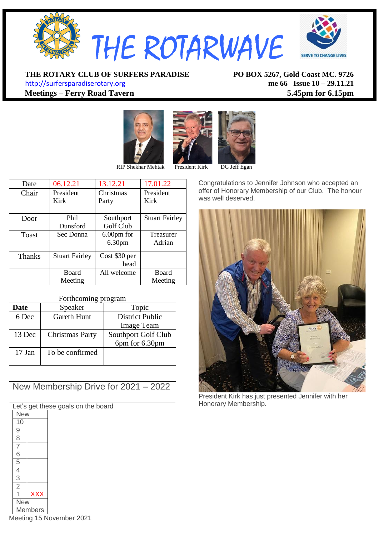

[http://surfersparadiserotary.org](http://surfersparadiserotary.org/) **me 66 Issue 10 – 29.11.21**

**THE ROTARY CLUB OF SURFERS PARADISE PO BOX 5267, Gold Coast MC. 9726** Meetings – **Ferry Road Tavern** 5.45pm for 6.15pm





Date 06.12.21 13.12.21 17.01.22 Chair President Kirk Christmas Party President Kirk Door Phil Dunsford **Southport** Golf Club Stuart Fairley Toast Sec Donna 6.00pm for 6.30pm Treasurer Adrian Thanks Stuart Fairley Cost \$30 per head Board Meeting All welcome Board Meeting

#### Forthcoming program

| Speaker                | Topic               |
|------------------------|---------------------|
| <b>Gareth Hunt</b>     | District Public     |
|                        | <b>Image Team</b>   |
| <b>Christmas Party</b> | Southport Golf Club |
|                        | 6pm for 6.30pm      |
| To be confirmed        |                     |
|                        |                     |

| New Membership Drive for 2021 - 2022 |  |
|--------------------------------------|--|
| Let's get these goals on the board   |  |
| <b>New</b>                           |  |
| 10                                   |  |
| 9                                    |  |
| 8                                    |  |
|                                      |  |
| 6                                    |  |
| 5                                    |  |
| 4                                    |  |
| 3                                    |  |
| $\overline{2}$                       |  |
| <b>XXX</b>                           |  |
| <b>New</b>                           |  |
| Members                              |  |

Meeting 15 November 2021

Congratulations to Jennifer Johnson who accepted an offer of Honorary Membership of our Club. The honour was well deserved.



President Kirk has just presented Jennifer with her Honorary Membership.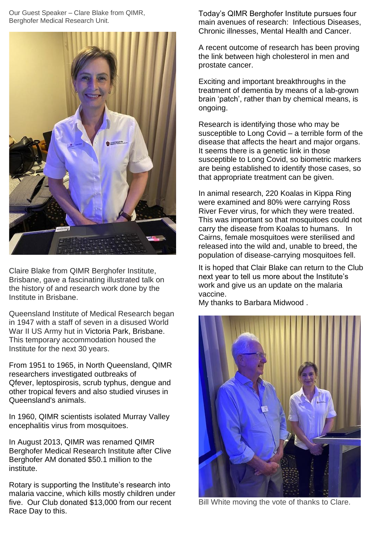Our Guest Speaker – Clare Blake from QIMR, Berghofer Medical Research Unit.



Claire Blake from QIMR Berghofer Institute, Brisbane, gave a fascinating illustrated talk on the history of and research work done by the Institute in Brisbane.

Queensland Institute of Medical Research began in 1947 with a staff of seven in a disused World War II US Army hut in [Victoria Park, Brisbane.](https://en.wikipedia.org/w/index.php?title=Victoria_Park,_Queensland&action=edit&redlink=1) This temporary accommodation housed the Institute for the next 30 years.

From 1951 to 1965, in [North Queensland,](https://en.wikipedia.org/wiki/North_Queensland) QIMR researchers investigated outbreaks of Qfever, [leptospirosis,](https://en.wikipedia.org/wiki/Leptospirosis) scrub typhus, [dengue](https://en.wikipedia.org/wiki/Dengue) and other tropical fevers and also studied viruses in Queensland's animals.

In 1960, QIMR scientists isolated [Murray Valley](https://en.wikipedia.org/wiki/Murray_Valley_encephalitis_virus)  [encephalitis virus](https://en.wikipedia.org/wiki/Murray_Valley_encephalitis_virus) from mosquitoes.

In August 2013, QIMR was renamed QIMR Berghofer Medical Research Institute after [Clive](https://en.wikipedia.org/wiki/Clive_Berghofer)  [Berghofer](https://en.wikipedia.org/wiki/Clive_Berghofer) AM donated \$50.1 million to the institute.

Rotary is supporting the Institute's research into malaria vaccine, which kills mostly children under five. Our Club donated \$13,000 from our recent Race Day to this.

Today's QIMR Berghofer Institute pursues four main avenues of research: Infectious Diseases, Chronic illnesses, Mental Health and Cancer.

A recent outcome of research has been proving the link between high cholesterol in men and prostate cancer.

Exciting and important breakthroughs in the treatment of dementia by means of a lab-grown brain 'patch', rather than by chemical means, is ongoing.

Research is identifying those who may be susceptible to Long Covid – a terrible form of the disease that affects the heart and major organs. It seems there is a genetic link in those susceptible to Long Covid, so biometric markers are being established to identify those cases, so that appropriate treatment can be given.

In animal research, 220 Koalas in Kippa Ring were examined and 80% were carrying Ross River Fever virus, for which they were treated. This was important so that mosquitoes could not carry the disease from Koalas to humans. In Cairns, female mosquitoes were sterilised and released into the wild and, unable to breed, the population of disease-carrying mosquitoes fell.

It is hoped that Clair Blake can return to the Club next year to tell us more about the Institute's work and give us an update on the malaria vaccine.

My thanks to Barbara Midwood .



Bill White moving the vote of thanks to Clare.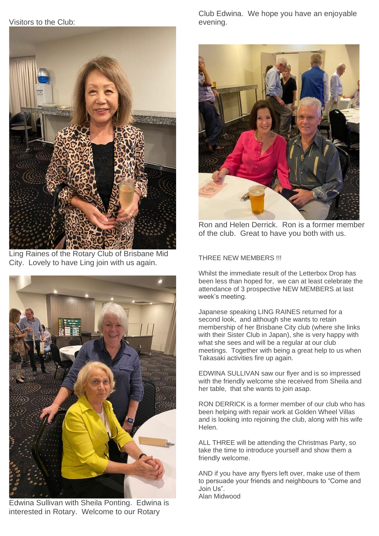## Visitors to the Club:



Ling Raines of the Rotary Club of Brisbane Mid City. Lovely to have Ling join with us again.



Edwina Sullivan with Sheila Ponting. Edwina is interested in Rotary. Welcome to our Rotary

Club Edwina. We hope you have an enjoyable evening.



Ron and Helen Derrick. Ron is a former member of the club. Great to have you both with us.

THREE NEW MEMBERS !!!

Whilst the immediate result of the Letterbox Drop has been less than hoped for, we can at least celebrate the attendance of 3 prospective NEW MEMBERS at last week's meeting.

Japanese speaking LING RAINES returned for a second look, and although she wants to retain membership of her Brisbane City club (where she links with their Sister Club in Japan), she is very happy with what she sees and will be a regular at our club meetings. Together with being a great help to us when Takasaki activities fire up again.

EDWINA SULLIVAN saw our flyer and is so impressed with the friendly welcome she received from Sheila and her table, that she wants to join asap.

RON DERRICK is a former member of our club who has been helping with repair work at Golden Wheel Villas and is looking into rejoining the club, along with his wife Helen.

ALL THREE will be attending the Christmas Party, so take the time to introduce yourself and show them a friendly welcome.

AND if you have any flyers left over, make use of them to persuade your friends and neighbours to "Come and Join Us".

Alan Midwood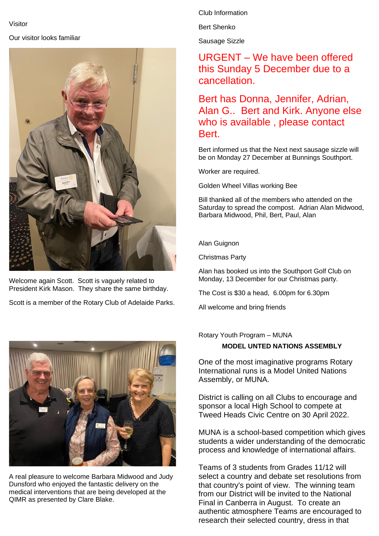Visitor

Our visitor looks familiar



Welcome again Scott. Scott is vaguely related to President Kirk Mason. They share the same birthday.

Scott is a member of the Rotary Club of Adelaide Parks.



A real pleasure to welcome Barbara Midwood and Judy Dunsford who enjoyed the fantastic delivery on the medical interventions that are being developed at the QIMR as presented by Clare Blake.

Club Information

Bert Shenko

Sausage Sizzle

# URGENT – We have been offered this Sunday 5 December due to a cancellation.

## Bert has Donna, Jennifer, Adrian, Alan G.. Bert and Kirk. Anyone else who is available , please contact Bert.

Bert informed us that the Next next sausage sizzle will be on Monday 27 December at Bunnings Southport.

Worker are required.

Golden Wheel Villas working Bee

Bill thanked all of the members who attended on the Saturday to spread the compost. Adrian Alan Midwood, Barbara Midwood, Phil, Bert, Paul, Alan

#### Alan Guignon

Christmas Party

Alan has booked us into the Southport Golf Club on Monday, 13 December for our Christmas party.

The Cost is \$30 a head, 6.00pm for 6.30pm

All welcome and bring friends

Rotary Youth Program – MUNA

### **MODEL UNTED NATIONS ASSEMBLY**

One of the most imaginative programs Rotary International runs is a Model United Nations Assembly, or MUNA.

District is calling on all Clubs to encourage and sponsor a local High School to compete at Tweed Heads Civic Centre on 30 April 2022.

MUNA is a school-based competition which gives students a wider understanding of the democratic process and knowledge of international affairs.

Teams of 3 students from Grades 11/12 will select a country and debate set resolutions from that country's point of view. The winning team from our District will be invited to the National Final in Canberra in August. To create an authentic atmosphere Teams are encouraged to research their selected country, dress in that